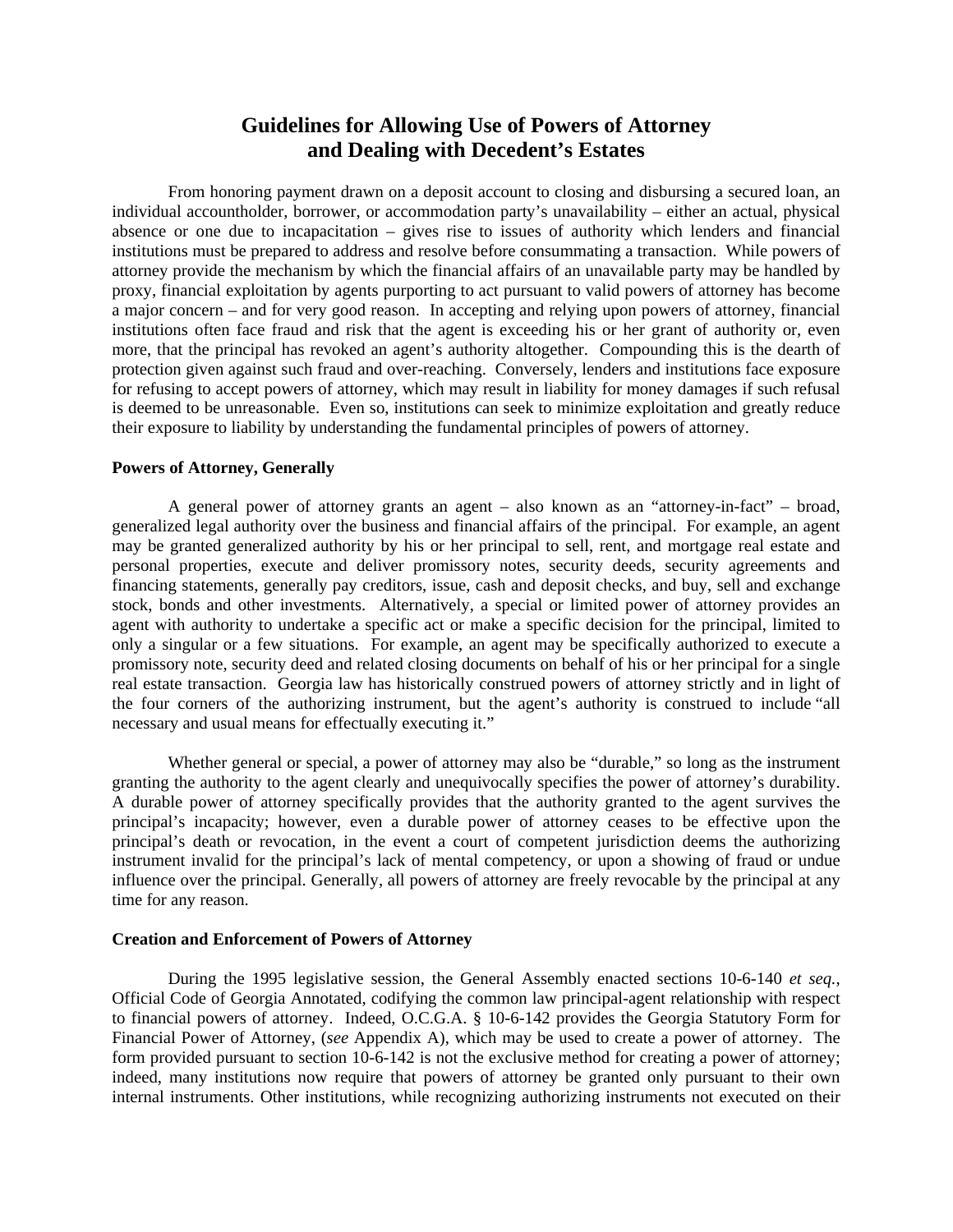# **Guidelines for Allowing Use of Powers of Attorney and Dealing with Decedent's Estates**

From honoring payment drawn on a deposit account to closing and disbursing a secured loan, an individual accountholder, borrower, or accommodation party's unavailability – either an actual, physical absence or one due to incapacitation – gives rise to issues of authority which lenders and financial institutions must be prepared to address and resolve before consummating a transaction. While powers of attorney provide the mechanism by which the financial affairs of an unavailable party may be handled by proxy, financial exploitation by agents purporting to act pursuant to valid powers of attorney has become a major concern – and for very good reason. In accepting and relying upon powers of attorney, financial institutions often face fraud and risk that the agent is exceeding his or her grant of authority or, even more, that the principal has revoked an agent's authority altogether. Compounding this is the dearth of protection given against such fraud and over-reaching. Conversely, lenders and institutions face exposure for refusing to accept powers of attorney, which may result in liability for money damages if such refusal is deemed to be unreasonable. Even so, institutions can seek to minimize exploitation and greatly reduce their exposure to liability by understanding the fundamental principles of powers of attorney.

## **Powers of Attorney, Generally**

A general power of attorney grants an agent – also known as an "attorney-in-fact" – broad, generalized legal authority over the business and financial affairs of the principal. For example, an agent may be granted generalized authority by his or her principal to sell, rent, and mortgage real estate and personal properties, execute and deliver promissory notes, security deeds, security agreements and financing statements, generally pay creditors, issue, cash and deposit checks, and buy, sell and exchange stock, bonds and other investments. Alternatively, a special or limited power of attorney provides an agent with authority to undertake a specific act or make a specific decision for the principal, limited to only a singular or a few situations. For example, an agent may be specifically authorized to execute a promissory note, security deed and related closing documents on behalf of his or her principal for a single real estate transaction. Georgia law has historically construed powers of attorney strictly and in light of the four corners of the authorizing instrument, but the agent's authority is construed to include "all necessary and usual means for effectually executing it."

Whether general or special, a power of attorney may also be "durable," so long as the instrument granting the authority to the agent clearly and unequivocally specifies the power of attorney's durability. A durable power of attorney specifically provides that the authority granted to the agent survives the principal's incapacity; however, even a durable power of attorney ceases to be effective upon the principal's death or revocation, in the event a court of competent jurisdiction deems the authorizing instrument invalid for the principal's lack of mental competency, or upon a showing of fraud or undue influence over the principal. Generally, all powers of attorney are freely revocable by the principal at any time for any reason.

## **Creation and Enforcement of Powers of Attorney**

During the 1995 legislative session, the General Assembly enacted sections 10-6-140 *et seq.*, Official Code of Georgia Annotated, codifying the common law principal-agent relationship with respect to financial powers of attorney. Indeed, O.C.G.A. § 10-6-142 provides the Georgia Statutory Form for Financial Power of Attorney, (*see* Appendix A), which may be used to create a power of attorney. The form provided pursuant to section 10-6-142 is not the exclusive method for creating a power of attorney; indeed, many institutions now require that powers of attorney be granted only pursuant to their own internal instruments. Other institutions, while recognizing authorizing instruments not executed on their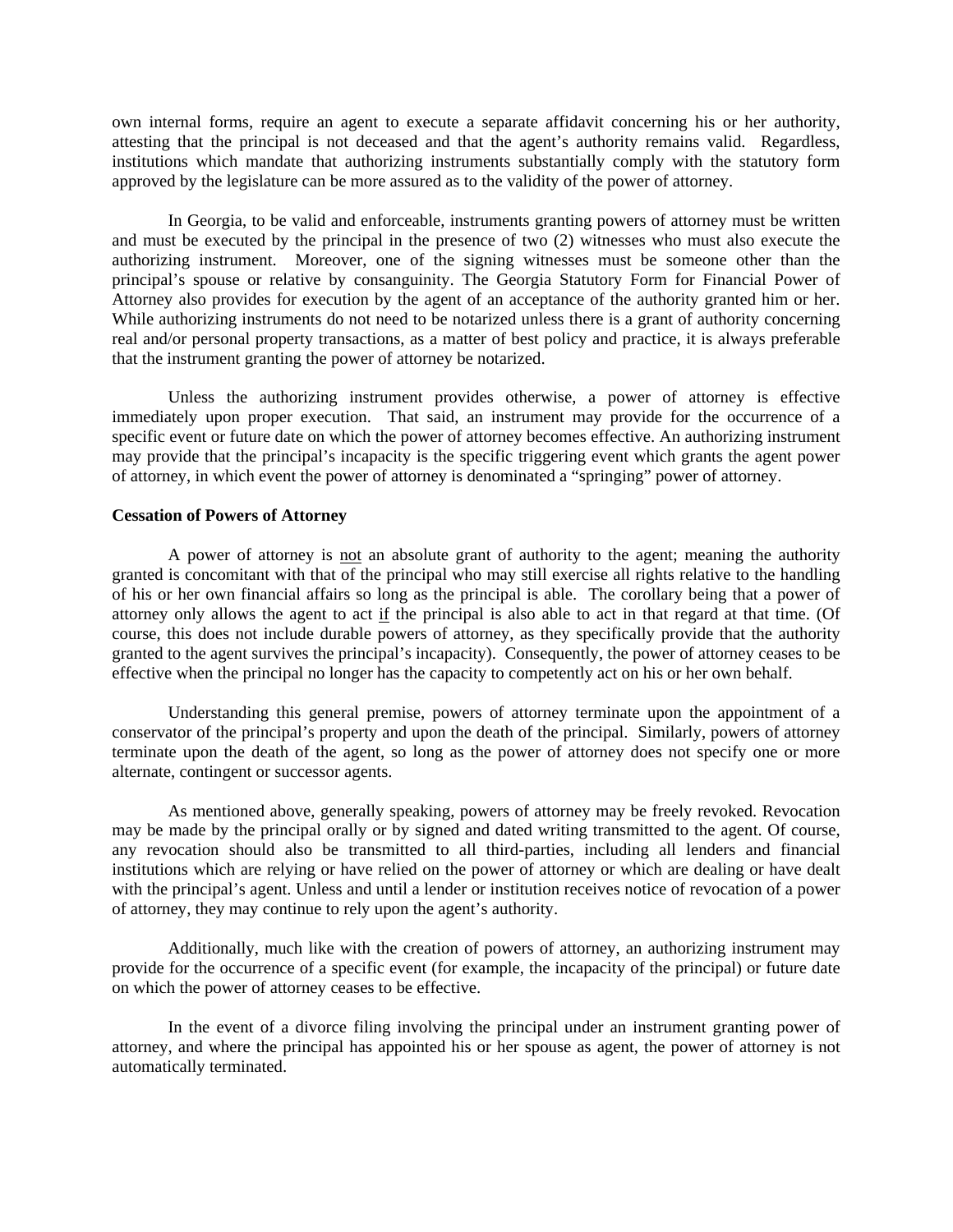own internal forms, require an agent to execute a separate affidavit concerning his or her authority, attesting that the principal is not deceased and that the agent's authority remains valid. Regardless, institutions which mandate that authorizing instruments substantially comply with the statutory form approved by the legislature can be more assured as to the validity of the power of attorney.

In Georgia, to be valid and enforceable, instruments granting powers of attorney must be written and must be executed by the principal in the presence of two (2) witnesses who must also execute the authorizing instrument. Moreover, one of the signing witnesses must be someone other than the principal's spouse or relative by consanguinity. The Georgia Statutory Form for Financial Power of Attorney also provides for execution by the agent of an acceptance of the authority granted him or her. While authorizing instruments do not need to be notarized unless there is a grant of authority concerning real and/or personal property transactions, as a matter of best policy and practice, it is always preferable that the instrument granting the power of attorney be notarized.

Unless the authorizing instrument provides otherwise, a power of attorney is effective immediately upon proper execution. That said, an instrument may provide for the occurrence of a specific event or future date on which the power of attorney becomes effective. An authorizing instrument may provide that the principal's incapacity is the specific triggering event which grants the agent power of attorney, in which event the power of attorney is denominated a "springing" power of attorney.

## **Cessation of Powers of Attorney**

A power of attorney is not an absolute grant of authority to the agent; meaning the authority granted is concomitant with that of the principal who may still exercise all rights relative to the handling of his or her own financial affairs so long as the principal is able. The corollary being that a power of attorney only allows the agent to act if the principal is also able to act in that regard at that time. (Of course, this does not include durable powers of attorney, as they specifically provide that the authority granted to the agent survives the principal's incapacity). Consequently, the power of attorney ceases to be effective when the principal no longer has the capacity to competently act on his or her own behalf.

Understanding this general premise, powers of attorney terminate upon the appointment of a conservator of the principal's property and upon the death of the principal. Similarly, powers of attorney terminate upon the death of the agent, so long as the power of attorney does not specify one or more alternate, contingent or successor agents.

As mentioned above, generally speaking, powers of attorney may be freely revoked. Revocation may be made by the principal orally or by signed and dated writing transmitted to the agent. Of course, any revocation should also be transmitted to all third-parties, including all lenders and financial institutions which are relying or have relied on the power of attorney or which are dealing or have dealt with the principal's agent. Unless and until a lender or institution receives notice of revocation of a power of attorney, they may continue to rely upon the agent's authority.

Additionally, much like with the creation of powers of attorney, an authorizing instrument may provide for the occurrence of a specific event (for example, the incapacity of the principal) or future date on which the power of attorney ceases to be effective.

In the event of a divorce filing involving the principal under an instrument granting power of attorney, and where the principal has appointed his or her spouse as agent, the power of attorney is not automatically terminated.